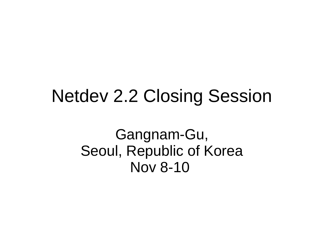#### Netdev 2.2 Closing Session

Gangnam-Gu, Seoul, Republic of Korea Nov 8-10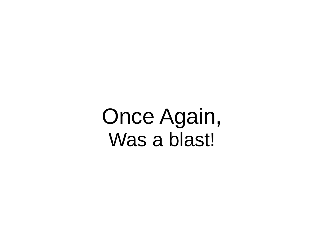Once Again, Was a blast!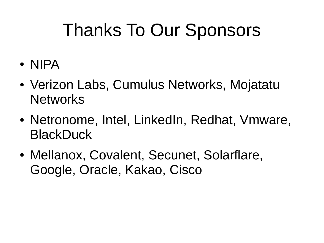## Thanks To Our Sponsors

- NIPA
- Verizon Labs, Cumulus Networks, Mojatatu **Networks**
- Netronome, Intel, LinkedIn, Redhat, Vmware, **BlackDuck**
- Mellanox, Covalent, Secunet, Solarflare, Google, Oracle, Kakao, Cisco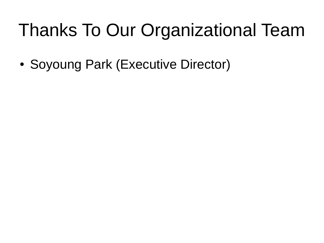# Thanks To Our Organizational Team

• Soyoung Park (Executive Director)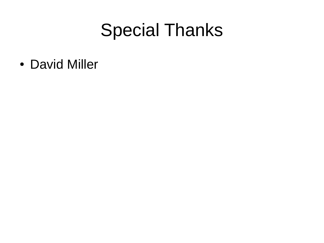#### Special Thanks

• David Miller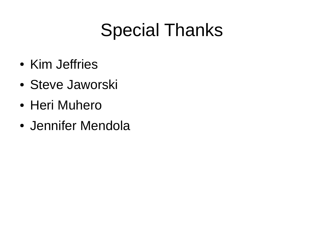# Special Thanks

- Kim Jeffries
- Steve Jaworski
- Heri Muhero
- Jennifer Mendola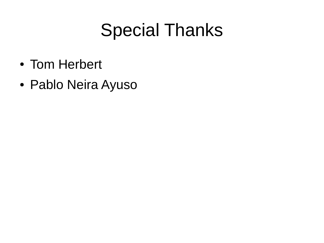## Special Thanks

- Tom Herbert
- Pablo Neira Ayuso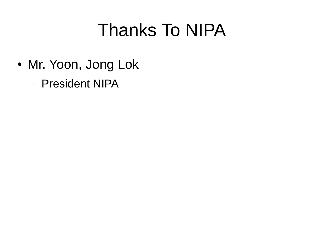## Thanks To NIPA

- Mr. Yoon, Jong Lok
	- President NIPA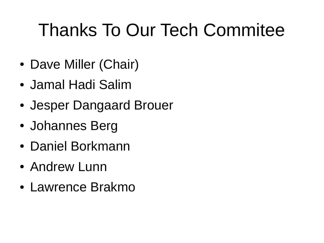# Thanks To Our Tech Commitee

- Dave Miller (Chair)
- Jamal Hadi Salim
- Jesper Dangaard Brouer
- Johannes Berg
- Daniel Borkmann
- Andrew Lunn
- Lawrence Brakmo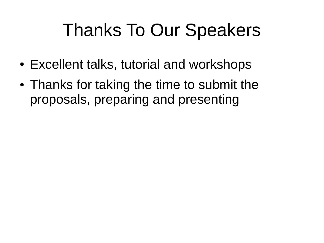## Thanks To Our Speakers

- Excellent talks, tutorial and workshops
- Thanks for taking the time to submit the proposals, preparing and presenting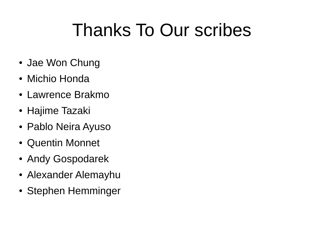# Thanks To Our scribes

- Jae Won Chung
- Michio Honda
- Lawrence Brakmo
- Hajime Tazaki
- Pablo Neira Ayuso
- Quentin Monnet
- Andy Gospodarek
- Alexander Alemayhu
- Stephen Hemminger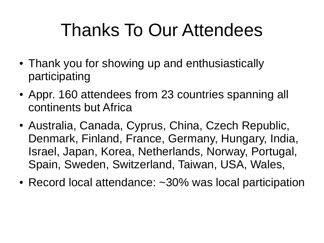## Thanks To Our Attendees

- Thank you for showing up and enthusiastically participating
- Appr. 160 attendees from 23 countries spanning all continents but Africa
- Australia, Canada, Cyprus, China, Czech Republic, Denmark, Finland, France, Germany, Hungary, India, Israel, Japan, Korea, Netherlands, Norway, Portugal, Spain, Sweden, Switzerland, Taiwan, USA, Wales,
- Record local attendance: ~30% was local participation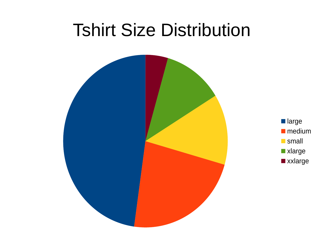#### Tshirt Size Distribution